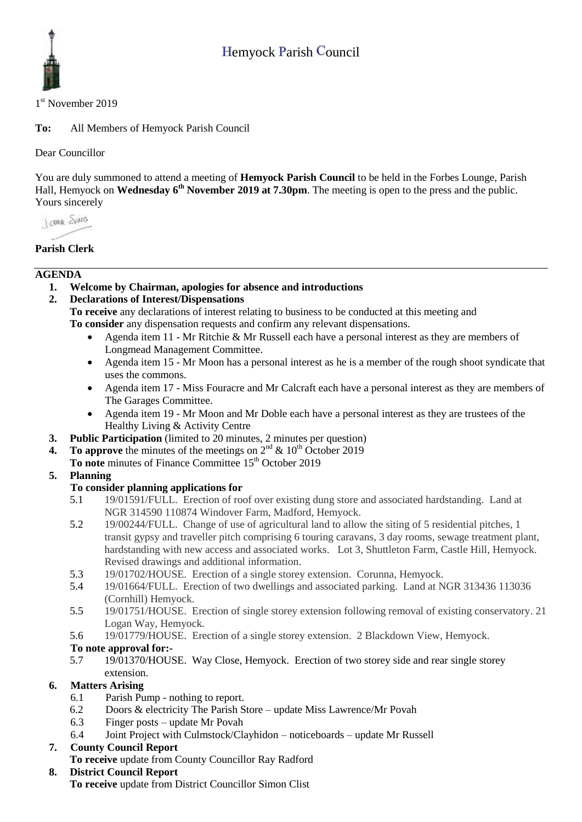

1<sup>st</sup> November 2019

**To:** All Members of Hemyock Parish Council

Dear Councillor

You are duly summoned to attend a meeting of **Hemyock Parish Council** to be held in the Forbes Lounge, Parish Hall, Hemyock on Wednesday 6<sup>th</sup> November 2019 at 7.30pm. The meeting is open to the press and the public. Yours sincerely

I awa Shans

# **Parish Clerk**

#### **AGENDA**

**1. Welcome by Chairman, apologies for absence and introductions**

### **2. Declarations of Interest/Dispensations**

**To receive** any declarations of interest relating to business to be conducted at this meeting and **To consider** any dispensation requests and confirm any relevant dispensations.

- Agenda item 11 Mr Ritchie & Mr Russell each have a personal interest as they are members of Longmead Management Committee.
- Agenda item 15 Mr Moon has a personal interest as he is a member of the rough shoot syndicate that uses the commons.
- Agenda item 17 Miss Fouracre and Mr Calcraft each have a personal interest as they are members of The Garages Committee.
- Agenda item 19 Mr Moon and Mr Doble each have a personal interest as they are trustees of the Healthy Living & Activity Centre
- **3. Public Participation** (limited to 20 minutes, 2 minutes per question)
- **4.** To approve the minutes of the meetings on  $2^{nd}$  &  $10^{th}$  October 2019
- **To note** minutes of Finance Committee 15<sup>th</sup> October 2019

### **5. Planning**

### **To consider planning applications for**

- 5.1 19/01591/FULL. Erection of roof over existing dung store and associated hardstanding. Land at NGR 314590 110874 Windover Farm, Madford, Hemyock.
- 5.2 19/00244/FULL. Change of use of agricultural land to allow the siting of 5 residential pitches, 1 transit gypsy and traveller pitch comprising 6 touring caravans, 3 day rooms, sewage treatment plant, hardstanding with new access and associated works. Lot 3, Shuttleton Farm, Castle Hill, Hemyock. Revised drawings and additional information.
- 5.3 19/01702/HOUSE. Erection of a single storey extension. Corunna, Hemyock.
- 5.4 19/01664/FULL. Erection of two dwellings and associated parking. Land at NGR 313436 113036 (Cornhill) Hemyock.
- 5.5 19/01751/HOUSE. Erection of single storey extension following removal of existing conservatory. 21 Logan Way, Hemyock.
- 5.6 19/01779/HOUSE. Erection of a single storey extension. 2 Blackdown View, Hemyock.

### **To note approval for:-**

5.7 19/01370/HOUSE. Way Close, Hemyock. Erection of two storey side and rear single storey extension.

### **6. Matters Arising**

- 6.1 Parish Pump nothing to report.
- 6.2 Doors & electricity The Parish Store update Miss Lawrence/Mr Povah
- 6.3 Finger posts update Mr Povah
- 6.4 Joint Project with Culmstock/Clayhidon noticeboards update Mr Russell

### **7. County Council Report**

**To receive** update from County Councillor Ray Radford

**8. District Council Report To receive** update from District Councillor Simon Clist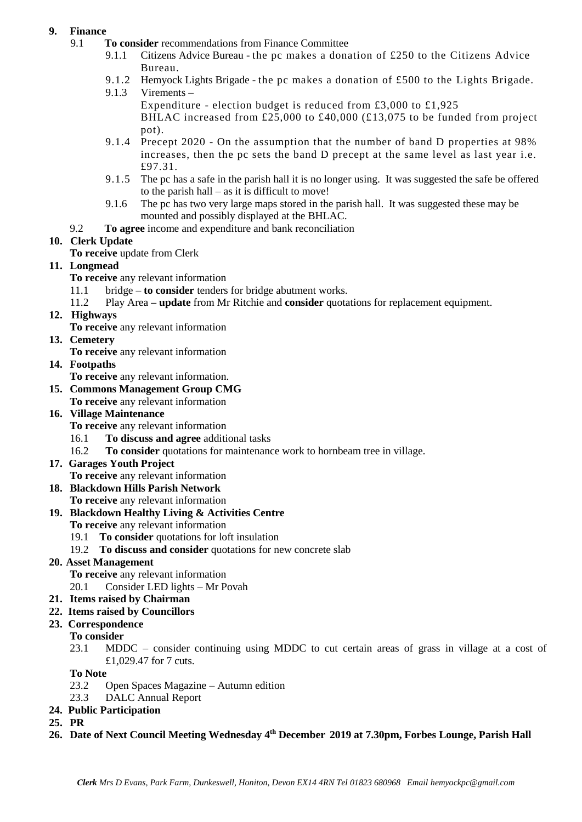### **9. Finance**

- 9.1 **To consider** recommendations from Finance Committee
	- 9.1.1 Citizens Advice Bureau the pc makes a donation of £250 to the Citizens Advice Bureau.
	- 9.1.2 Hemyock Lights Brigade the pc makes a donation of £500 to the Lights Brigade.
	- 9.1.3 Virements
		- Expenditure election budget is reduced from £3,000 to £1,925 BHLAC increased from £25,000 to £40,000 (£13,075 to be funded from project pot).
	- 9.1.4 Precept 2020 On the assumption that the number of band D properties at 98% increases, then the pc sets the band D precept at the same level as last year i.e. £97.31.
	- 9.1.5 The pc has a safe in the parish hall it is no longer using. It was suggested the safe be offered to the parish hall – as it is difficult to move!
	- 9.1.6 The pc has two very large maps stored in the parish hall. It was suggested these may be mounted and possibly displayed at the BHLAC.
- 9.2 **To agree** income and expenditure and bank reconciliation

# **10. Clerk Update**

**To receive** update from Clerk

# **11. Longmead**

- **To receive** any relevant information
- 11.1 bridge **to consider** tenders for bridge abutment works.
- 11.2 Play Area **– update** from Mr Ritchie and **consider** quotations for replacement equipment.
- **12. Highways** 
	- **To receive** any relevant information
- **13. Cemetery**

**To receive** any relevant information

- **14. Footpaths**
	- **To receive** any relevant information.
- **15. Commons Management Group CMG To receive** any relevant information

#### **16. Village Maintenance**

- **To receive** any relevant information
- 16.1 **To discuss and agree** additional tasks
- 16.2 **To consider** quotations for maintenance work to hornbeam tree in village.
- **17. Garages Youth Project** 
	- **To receive** any relevant information

#### **18. Blackdown Hills Parish Network To receive** any relevant information

#### **19. Blackdown Healthy Living & Activities Centre**

- **To receive** any relevant information
	- 19.1 **To consider** quotations for loft insulation
	- 19.2 **To discuss and consider** quotations for new concrete slab

#### **20. Asset Management**

- **To receive** any relevant information
- 20.1 Consider LED lights Mr Povah
- **21. Items raised by Chairman**
- **22. Items raised by Councillors**
- **23. Correspondence**

#### **To consider**

23.1 MDDC – consider continuing using MDDC to cut certain areas of grass in village at a cost of £1,029.47 for 7 cuts.

**To Note**

- 23.2 Open Spaces Magazine Autumn edition
- 23.3 DALC Annual Report

#### **24. Public Participation**

- **25. PR**
- **26. Date of Next Council Meeting Wednesday 4 th December 2019 at 7.30pm, Forbes Lounge, Parish Hall**